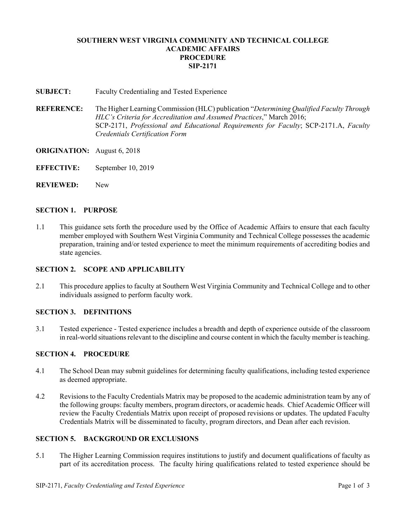# **SOUTHERN WEST VIRGINIA COMMUNITY AND TECHNICAL COLLEGE ACADEMIC AFFAIRS PROCEDURE SIP-2171**

**SUBJECT:** Faculty Credentialing and Tested Experience

- **REFERENCE:** The Higher Learning Commission (HLC) publication "*Determining Qualified Faculty Through HLC's Criteria for Accreditation and Assumed Practices*," March 2016; SCP-2171, *Professional and Educational Requirements for Faculty*; SCP-2171.A, *Faculty Credentials Certification Form*
- **ORIGINATION:** August 6, 2018
- **EFFECTIVE:** September 10, 2019
- **REVIEWED:** New

#### **SECTION 1. PURPOSE**

1.1 This guidance sets forth the procedure used by the Office of Academic Affairs to ensure that each faculty member employed with Southern West Virginia Community and Technical College possesses the academic preparation, training and/or tested experience to meet the minimum requirements of accrediting bodies and state agencies.

#### **SECTION 2. SCOPE AND APPLICABILITY**

2.1 This procedure applies to faculty at Southern West Virginia Community and Technical College and to other individuals assigned to perform faculty work.

### **SECTION 3. DEFINITIONS**

3.1 Tested experience - Tested experience includes a breadth and depth of experience outside of the classroom in real-world situations relevant to the discipline and course content in which the faculty member is teaching.

### **SECTION 4. PROCEDURE**

- 4.1 The School Dean may submit guidelines for determining faculty qualifications, including tested experience as deemed appropriate.
- 4.2 Revisions to the Faculty Credentials Matrix may be proposed to the academic administration team by any of the following groups: faculty members, program directors, or academic heads. Chief Academic Officer will review the Faculty Credentials Matrix upon receipt of proposed revisions or updates. The updated Faculty Credentials Matrix will be disseminated to faculty, program directors, and Dean after each revision.

# **SECTION 5. BACKGROUND OR EXCLUSIONS**

5.1 The Higher Learning Commission requires institutions to justify and document qualifications of faculty as part of its accreditation process. The faculty hiring qualifications related to tested experience should be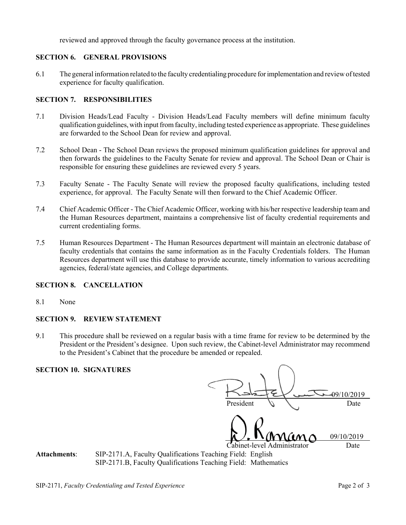reviewed and approved through the faculty governance process at the institution.

### **SECTION 6. GENERAL PROVISIONS**

6.1 The general information related to the faculty credentialing procedure for implementation and review of tested experience for faculty qualification.

# **SECTION 7. RESPONSIBILITIES**

- 7.1 Division Heads/Lead Faculty Division Heads/Lead Faculty members will define minimum faculty qualification guidelines, with input from faculty, including tested experience as appropriate. These guidelines are forwarded to the School Dean for review and approval.
- 7.2 School Dean The School Dean reviews the proposed minimum qualification guidelines for approval and then forwards the guidelines to the Faculty Senate for review and approval. The School Dean or Chair is responsible for ensuring these guidelines are reviewed every 5 years.
- 7.3 Faculty Senate The Faculty Senate will review the proposed faculty qualifications, including tested experience, for approval. The Faculty Senate will then forward to the Chief Academic Officer.
- 7.4 Chief Academic Officer The Chief Academic Officer, working with his/her respective leadership team and the Human Resources department, maintains a comprehensive list of faculty credential requirements and current credentialing forms.
- 7.5 Human Resources Department The Human Resources department will maintain an electronic database of faculty credentials that contains the same information as in the Faculty Credentials folders. The Human Resources department will use this database to provide accurate, timely information to various accrediting agencies, federal/state agencies, and College departments.

### **SECTION 8. CANCELLATION**

8.1 None

### **SECTION 9. REVIEW STATEMENT**

9.1 This procedure shall be reviewed on a regular basis with a time frame for review to be determined by the President or the President's designee. Upon such review, the Cabinet-level Administrator may recommend to the President's Cabinet that the procedure be amended or repealed.

#### **SECTION 10. SIGNATURES**

|                             | 09/10/2019 |
|-----------------------------|------------|
| President                   | Date       |
| Mano                        | 09/10/2019 |
| Cabinet-level Administrator | Date       |
| Teaching Field: English     |            |

Attachments: SIP-2171.A, Faculty Qualifications Teaching Fields: SIP-2171.B, Faculty Qualifications Teaching Field: Mathematics

SIP-2171, *Faculty Credentialing and Tested Experience* Page 2 of 3